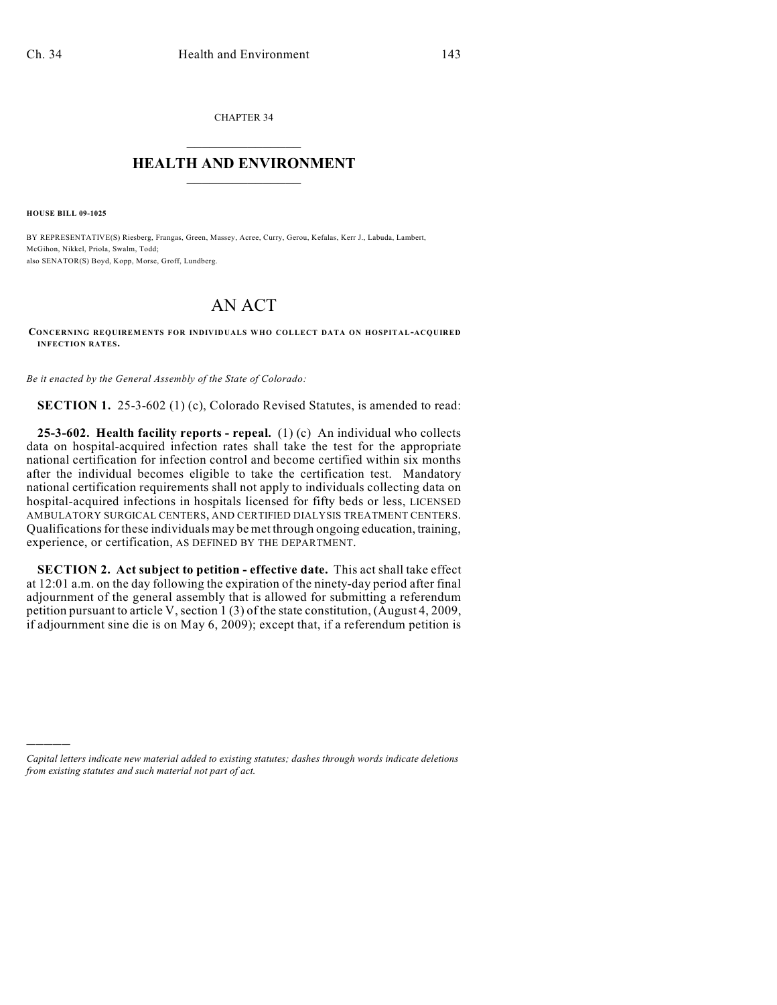CHAPTER 34  $\mathcal{L}_\text{max}$  . The set of the set of the set of the set of the set of the set of the set of the set of the set of the set of the set of the set of the set of the set of the set of the set of the set of the set of the set

## **HEALTH AND ENVIRONMENT**  $\_$

**HOUSE BILL 09-1025**

)))))

BY REPRESENTATIVE(S) Riesberg, Frangas, Green, Massey, Acree, Curry, Gerou, Kefalas, Kerr J., Labuda, Lambert, McGihon, Nikkel, Priola, Swalm, Todd; also SENATOR(S) Boyd, Kopp, Morse, Groff, Lundberg.

## AN ACT

**CONCERNING REQUIREMENTS FOR INDIVIDUALS WHO COLLECT DATA ON HOSPITAL-ACQUIRED INFECTION RATES.**

*Be it enacted by the General Assembly of the State of Colorado:*

**SECTION 1.** 25-3-602 (1) (c), Colorado Revised Statutes, is amended to read:

**25-3-602. Health facility reports - repeal.** (1) (c) An individual who collects data on hospital-acquired infection rates shall take the test for the appropriate national certification for infection control and become certified within six months after the individual becomes eligible to take the certification test. Mandatory national certification requirements shall not apply to individuals collecting data on hospital-acquired infections in hospitals licensed for fifty beds or less, LICENSED AMBULATORY SURGICAL CENTERS, AND CERTIFIED DIALYSIS TREATMENT CENTERS. Qualifications for these individuals may be met through ongoing education, training, experience, or certification, AS DEFINED BY THE DEPARTMENT.

**SECTION 2. Act subject to petition - effective date.** This act shall take effect at 12:01 a.m. on the day following the expiration of the ninety-day period after final adjournment of the general assembly that is allowed for submitting a referendum petition pursuant to article V, section 1 (3) of the state constitution, (August 4, 2009, if adjournment sine die is on May 6, 2009); except that, if a referendum petition is

*Capital letters indicate new material added to existing statutes; dashes through words indicate deletions from existing statutes and such material not part of act.*